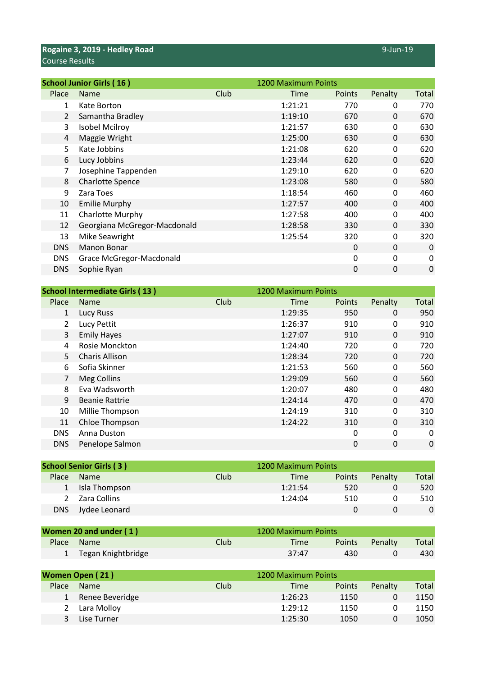**Rogaine 3, 2019 - Hedley Road** 9-Jun-19 Course Results

|                | <b>School Junior Girls (16)</b> |      | 1200 Maximum Points |               |          |       |
|----------------|---------------------------------|------|---------------------|---------------|----------|-------|
| Place          | <b>Name</b>                     | Club | Time                | <b>Points</b> | Penalty  | Total |
| 1              | Kate Borton                     |      | 1:21:21             | 770           | 0        | 770   |
| $\overline{2}$ | Samantha Bradley                |      | 1:19:10             | 670           | 0        | 670   |
| 3              | <b>Isobel Mcilroy</b>           |      | 1:21:57             | 630           | 0        | 630   |
| 4              | Maggie Wright                   |      | 1:25:00             | 630           | 0        | 630   |
| 5              | Kate Jobbins                    |      | 1:21:08             | 620           | 0        | 620   |
| 6              | Lucy Jobbins                    |      | 1:23:44             | 620           | 0        | 620   |
| 7              | Josephine Tappenden             |      | 1:29:10             | 620           | 0        | 620   |
| 8              | <b>Charlotte Spence</b>         |      | 1:23:08             | 580           | 0        | 580   |
| 9              | Zara Toes                       |      | 1:18:54             | 460           | 0        | 460   |
| 10             | <b>Emilie Murphy</b>            |      | 1:27:57             | 400           | 0        | 400   |
| 11             | Charlotte Murphy                |      | 1:27:58             | 400           | 0        | 400   |
| 12             | Georgiana McGregor-Macdonald    |      | 1:28:58             | 330           | 0        | 330   |
| 13             | Mike Seawright                  |      | 1:25:54             | 320           | 0        | 320   |
| <b>DNS</b>     | Manon Bonar                     |      |                     | 0             | $\Omega$ | 0     |
| <b>DNS</b>     | Grace McGregor-Macdonald        |      |                     | $\mathbf{0}$  | $\Omega$ | 0     |
| <b>DNS</b>     | Sophie Ryan                     |      |                     | 0             | 0        | 0     |

|                | <b>School Intermediate Girls (13)</b> |      | 1200 Maximum Points |        |          |       |
|----------------|---------------------------------------|------|---------------------|--------|----------|-------|
| Place          | <b>Name</b>                           | Club | Time                | Points | Penalty  | Total |
| $\mathbf{1}$   | Lucy Russ                             |      | 1:29:35             | 950    | 0        | 950   |
| $\overline{2}$ | Lucy Pettit                           |      | 1:26:37             | 910    | 0        | 910   |
| 3              | <b>Emily Hayes</b>                    |      | 1:27:07             | 910    | 0        | 910   |
| 4              | Rosie Monckton                        |      | 1:24:40             | 720    | 0        | 720   |
| 5              | Charis Allison                        |      | 1:28:34             | 720    | 0        | 720   |
| 6              | Sofia Skinner                         |      | 1:21:53             | 560    | 0        | 560   |
| $\overline{7}$ | Meg Collins                           |      | 1:29:09             | 560    | 0        | 560   |
| 8              | Eva Wadsworth                         |      | 1:20:07             | 480    | 0        | 480   |
| 9              | <b>Beanie Rattrie</b>                 |      | 1:24:14             | 470    | $\Omega$ | 470   |
| 10             | Millie Thompson                       |      | 1:24:19             | 310    | 0        | 310   |
| 11             | Chloe Thompson                        |      | 1:24:22             | 310    | $\Omega$ | 310   |
| <b>DNS</b>     | Anna Duston                           |      |                     | 0      | 0        | 0     |
| <b>DNS</b>     | Penelope Salmon                       |      |                     | 0      | 0        | 0     |
|                |                                       |      |                     |        |          |       |

|       | <b>School Senior Girls (3)</b> |      | 1200 Maximum Points |        |         |          |
|-------|--------------------------------|------|---------------------|--------|---------|----------|
| Place | <b>Name</b>                    | Club | Time                | Points | Penalty | Total    |
|       | 1 Isla Thompson                |      | 1:21:54             | 520    |         | 520      |
|       | 2 Zara Collins                 |      | 1:24:04             | 510    |         | 510      |
| DNS   | Jydee Leonard                  |      |                     |        |         | $\Omega$ |

| Women 20 and under (1) |             | 1200 Maximum Points |        |         |       |
|------------------------|-------------|---------------------|--------|---------|-------|
| Place Name             | <b>Club</b> | Time                | Points | Penalty | Total |
| 1 Tegan Knightbridge   |             | 37:47               | 430.   |         | 430.  |

|       | Women Open (21) |      | 1200 Maximum Points |               |         |       |
|-------|-----------------|------|---------------------|---------------|---------|-------|
| Place | <b>Name</b>     | Club | Time                | <b>Points</b> | Penalty | Total |
| 1     | Renee Beveridge |      | 1:26:23             | 1150          |         | 1150  |
|       | Lara Molloy     |      | 1:29:12             | 1150          |         | 1150  |
|       | Lise Turner     |      | 1:25:30             | 1050          |         | 1050  |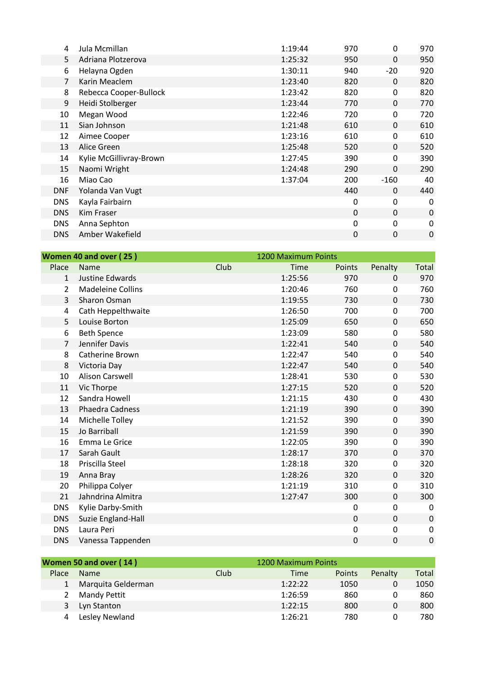| 4              | Jula Mcmillan           | 1:19:44 | 970          | $\mathbf{0}$ | 970 |
|----------------|-------------------------|---------|--------------|--------------|-----|
| 5              | Adriana Plotzerova      | 1:25:32 | 950          | $\Omega$     | 950 |
| 6              | Helayna Ogden           | 1:30:11 | 940          | $-20$        | 920 |
| $\overline{7}$ | Karin Meaclem           | 1:23:40 | 820          | $\Omega$     | 820 |
| 8              | Rebecca Cooper-Bullock  | 1:23:42 | 820          | 0            | 820 |
| 9              | Heidi Stolberger        | 1:23:44 | 770          | $\Omega$     | 770 |
| 10             | Megan Wood              | 1:22:46 | 720          | $\mathbf{0}$ | 720 |
| 11             | Sian Johnson            | 1:21:48 | 610          | $\Omega$     | 610 |
| 12             | Aimee Cooper            | 1:23:16 | 610          | 0            | 610 |
| 13             | Alice Green             | 1:25:48 | 520          | 0            | 520 |
| 14             | Kylie McGillivray-Brown | 1:27:45 | 390          | 0            | 390 |
| 15             | Naomi Wright            | 1:24:48 | 290          | $\Omega$     | 290 |
| 16             | Miao Cao                | 1:37:04 | 200          | $-160$       | 40  |
| <b>DNF</b>     | Yolanda Van Vugt        |         | 440          | $\Omega$     | 440 |
| <b>DNS</b>     | Kayla Fairbairn         |         | 0            | 0            | 0   |
| <b>DNS</b>     | Kim Fraser              |         | $\mathbf{0}$ | $\Omega$     | 0   |
| <b>DNS</b>     | Anna Sephton            |         | 0            | $\mathbf{0}$ | 0   |
| <b>DNS</b>     | Amber Wakefield         |         | 0            | 0            | 0   |

|                | Women 40 and over (25)   |      | 1200 Maximum Points |        |             |              |
|----------------|--------------------------|------|---------------------|--------|-------------|--------------|
| Place          | <b>Name</b>              | Club | Time                | Points | Penalty     | Total        |
| $\mathbf{1}$   | Justine Edwards          |      | 1:25:56             | 970    | $\Omega$    | 970          |
| 2              | <b>Madeleine Collins</b> |      | 1:20:46             | 760    | 0           | 760          |
| 3              | Sharon Osman             |      | 1:19:55             | 730    | 0           | 730          |
| 4              | Cath Heppelthwaite       |      | 1:26:50             | 700    | 0           | 700          |
| 5              | Louise Borton            |      | 1:25:09             | 650    | $\mathbf 0$ | 650          |
| 6              | <b>Beth Spence</b>       |      | 1:23:09             | 580    | 0           | 580          |
| $\overline{7}$ | Jennifer Davis           |      | 1:22:41             | 540    | 0           | 540          |
| 8              | Catherine Brown          |      | 1:22:47             | 540    | 0           | 540          |
| 8              | Victoria Day             |      | 1:22:47             | 540    | $\mathbf 0$ | 540          |
| 10             | <b>Alison Carswell</b>   |      | 1:28:41             | 530    | 0           | 530          |
| 11             | Vic Thorpe               |      | 1:27:15             | 520    | 0           | 520          |
| 12             | Sandra Howell            |      | 1:21:15             | 430    | 0           | 430          |
| 13             | Phaedra Cadness          |      | 1:21:19             | 390    | 0           | 390          |
| 14             | Michelle Tolley          |      | 1:21:52             | 390    | 0           | 390          |
| 15             | Jo Barriball             |      | 1:21:59             | 390    | 0           | 390          |
| 16             | Emma Le Grice            |      | 1:22:05             | 390    | 0           | 390          |
| 17             | Sarah Gault              |      | 1:28:17             | 370    | 0           | 370          |
| 18             | Priscilla Steel          |      | 1:28:18             | 320    | 0           | 320          |
| 19             | Anna Bray                |      | 1:28:26             | 320    | 0           | 320          |
| 20             | Philippa Colyer          |      | 1:21:19             | 310    | 0           | 310          |
| 21             | Jahndrina Almitra        |      | 1:27:47             | 300    | 0           | 300          |
| <b>DNS</b>     | Kylie Darby-Smith        |      |                     | 0      | 0           | $\mathbf{0}$ |
| <b>DNS</b>     | Suzie England-Hall       |      |                     | 0      | $\Omega$    | $\pmb{0}$    |
| <b>DNS</b>     | Laura Peri               |      |                     | 0      | 0           | 0            |
| <b>DNS</b>     | Vanessa Tappenden        |      |                     | 0      | 0           | $\mathbf 0$  |

|       | Women 50 and over (14) |      | 1200 Maximum Points |        |         |       |
|-------|------------------------|------|---------------------|--------|---------|-------|
| Place | <b>Name</b>            | Club | Time                | Points | Penalty | Total |
|       | Marquita Gelderman     |      | 1:22:22             | 1050   |         | 1050  |
| 2     | <b>Mandy Pettit</b>    |      | 1:26:59             | 860    |         | 860   |
| 3     | Lyn Stanton            |      | 1:22:15             | 800    |         | 800   |
|       | Lesley Newland         |      | 1:26:21             | 780    |         | 780   |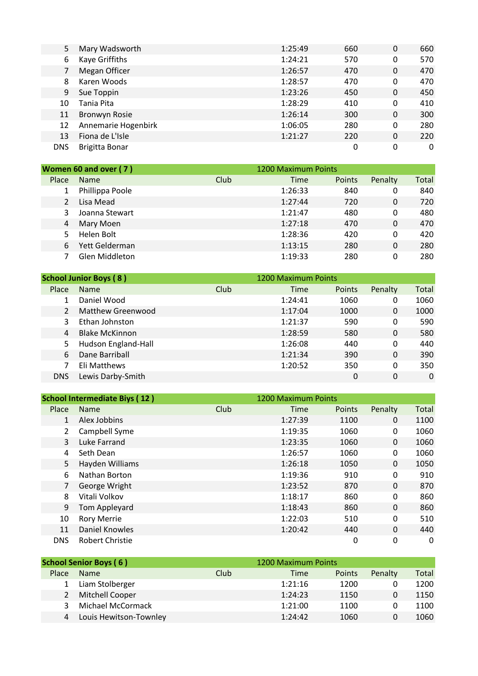| 5          | Mary Wadsworth       | 1:25:49 | 660 | 0 | 660 |
|------------|----------------------|---------|-----|---|-----|
| 6          | Kaye Griffiths       | 1:24:21 | 570 | 0 | 570 |
| 7          | Megan Officer        | 1:26:57 | 470 | 0 | 470 |
| 8          | Karen Woods          | 1:28:57 | 470 | 0 | 470 |
| 9          | Sue Toppin           | 1:23:26 | 450 | 0 | 450 |
| 10         | Tania Pita           | 1:28:29 | 410 | 0 | 410 |
| 11         | <b>Bronwyn Rosie</b> | 1:26:14 | 300 | 0 | 300 |
| 12         | Annemarie Hogenbirk  | 1:06:05 | 280 | 0 | 280 |
| 13         | Fiona de L'Isle      | 1:21:27 | 220 | 0 | 220 |
| <b>DNS</b> | Brigitta Bonar       |         | 0   | 0 | 0   |
|            |                      |         |     |   |     |

| Women 60 and over (7) |                 |      | 1200 Maximum Points |        |         |       |
|-----------------------|-----------------|------|---------------------|--------|---------|-------|
| Place                 | <b>Name</b>     | Club | Time                | Points | Penalty | Total |
|                       | Phillippa Poole |      | 1:26:33             | 840    | 0       | 840   |
|                       | Lisa Mead       |      | 1:27:44             | 720    | 0       | 720   |
| 3                     | Joanna Stewart  |      | 1:21:47             | 480    | 0       | 480   |
| 4                     | Mary Moen       |      | 1:27:18             | 470    | 0       | 470   |
|                       | Helen Bolt      |      | 1:28:36             | 420    | 0       | 420   |
| 6                     | Yett Gelderman  |      | 1:13:15             | 280    | 0       | 280   |
|                       | Glen Middleton  |      | 1:19:33             | 280    | 0       | 280   |

|            | <b>School Junior Boys (8)</b> |      | 1200 Maximum Points |               |         |          |
|------------|-------------------------------|------|---------------------|---------------|---------|----------|
| Place      | <b>Name</b>                   | Club | Time                | <b>Points</b> | Penalty | Total    |
|            | Daniel Wood                   |      | 1:24:41             | 1060          | 0       | 1060     |
|            | Matthew Greenwood             |      | 1:17:04             | 1000          | 0       | 1000     |
|            | Ethan Johnston                |      | 1:21:37             | 590           | 0       | 590      |
| 4          | <b>Blake McKinnon</b>         |      | 1:28:59             | 580           | 0       | 580      |
| 5.         | Hudson England-Hall           |      | 1:26:08             | 440           | 0       | 440      |
| 6          | Dane Barriball                |      | 1:21:34             | 390           | 0       | 390      |
|            | Eli Matthews                  |      | 1:20:52             | 350           | 0       | 350      |
| <b>DNS</b> | Lewis Darby-Smith             |      |                     | 0             | 0       | $\Omega$ |

|                | <b>School Intermediate Biys (12)</b> |      |         | 1200 Maximum Points |          |              |
|----------------|--------------------------------------|------|---------|---------------------|----------|--------------|
| <b>Place</b>   | <b>Name</b>                          | Club | Time    | Points              | Penalty  | <b>Total</b> |
| 1              | Alex Jobbins                         |      | 1:27:39 | 1100                | $\Omega$ | 1100         |
| $\overline{2}$ | Campbell Syme                        |      | 1:19:35 | 1060                | 0        | 1060         |
| 3              | <b>Luke Farrand</b>                  |      | 1:23:35 | 1060                | $\Omega$ | 1060         |
| 4              | Seth Dean                            |      | 1:26:57 | 1060                | 0        | 1060         |
| 5.             | Hayden Williams                      |      | 1:26:18 | 1050                | $\Omega$ | 1050         |
| 6              | Nathan Borton                        |      | 1:19:36 | 910                 | 0        | 910          |
| $\overline{7}$ | George Wright                        |      | 1:23:52 | 870                 | $\Omega$ | 870          |
| 8              | Vitali Volkov                        |      | 1:18:17 | 860                 | 0        | 860          |
| 9              | Tom Appleyard                        |      | 1:18:43 | 860                 | 0        | 860          |
| 10             | <b>Rory Merrie</b>                   |      | 1:22:03 | 510                 | 0        | 510          |
| 11             | <b>Daniel Knowles</b>                |      | 1:20:42 | 440                 | $\Omega$ | 440          |
| <b>DNS</b>     | <b>Robert Christie</b>               |      |         | 0                   | 0        | 0            |

|       | <b>School Senior Boys (6)</b> |      | 1200 Maximum Points |               |         |       |
|-------|-------------------------------|------|---------------------|---------------|---------|-------|
| Place | <b>Name</b>                   | Club | Time                | <b>Points</b> | Penalty | Total |
|       | Liam Stolberger               |      | 1:21:16             | 1200          |         | 1200  |
| 2     | Mitchell Cooper               |      | 1:24:23             | 1150          |         | 1150  |
| 3     | Michael McCormack             |      | 1:21:00             | 1100          |         | 1100  |
|       | Louis Hewitson-Townley        |      | 1:24:42             | 1060          |         | 1060  |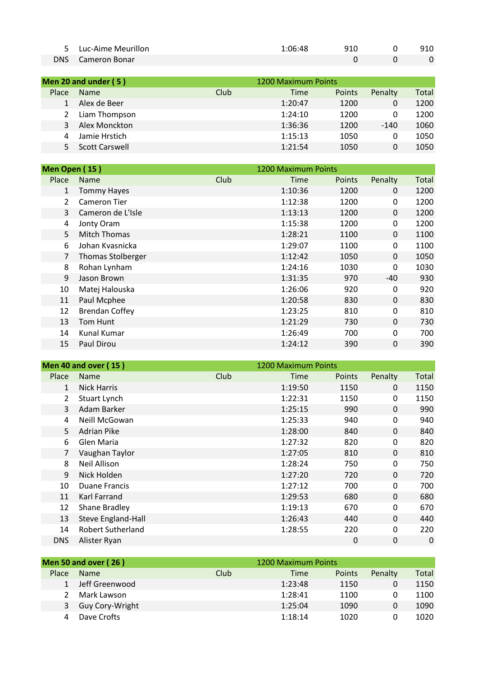| 5 Luc-Aime Meurillon     | 1:06:48 | 910 | 910 |
|--------------------------|---------|-----|-----|
| <b>DNS</b> Cameron Bonar |         |     |     |

| Men 20 and under (5)  |      |         |               |                     |       |
|-----------------------|------|---------|---------------|---------------------|-------|
| <b>Name</b>           | Club | Time    | <b>Points</b> | Penalty             | Total |
| Alex de Beer          |      | 1:20:47 | 1200          | 0                   | 1200  |
| Liam Thompson         |      | 1:24:10 | 1200          | 0                   | 1200  |
| Alex Monckton         |      | 1:36:36 | 1200          | $-140$              | 1060  |
| Jamie Hrstich         |      | 1:15:13 | 1050          | 0                   | 1050  |
| <b>Scott Carswell</b> |      | 1:21:54 | 1050          | 0                   | 1050  |
|                       |      |         |               | 1200 Maximum Points |       |

| Men Open (15)  |                          |      | 1200 Maximum Points |        |          |       |
|----------------|--------------------------|------|---------------------|--------|----------|-------|
| Place          | <b>Name</b>              | Club | Time                | Points | Penalty  | Total |
| 1              | <b>Tommy Hayes</b>       |      | 1:10:36             | 1200   | 0        | 1200  |
| $\mathfrak{D}$ | Cameron Tier             |      | 1:12:38             | 1200   | 0        | 1200  |
| 3              | Cameron de L'Isle        |      | 1:13:13             | 1200   | 0        | 1200  |
| 4              | Jonty Oram               |      | 1:15:38             | 1200   | 0        | 1200  |
| 5              | <b>Mitch Thomas</b>      |      | 1:28:21             | 1100   | $\Omega$ | 1100  |
| 6              | Johan Kvasnicka          |      | 1:29:07             | 1100   | 0        | 1100  |
| 7              | <b>Thomas Stolberger</b> |      | 1:12:42             | 1050   | $\Omega$ | 1050  |
| 8              | Rohan Lynham             |      | 1:24:16             | 1030   | 0        | 1030  |
| 9              | Jason Brown              |      | 1:31:35             | 970    | $-40$    | 930   |
| 10             | Matej Halouska           |      | 1:26:06             | 920    | 0        | 920   |
| 11             | Paul Mcphee              |      | 1:20:58             | 830    | $\Omega$ | 830   |
| 12             | <b>Brendan Coffey</b>    |      | 1:23:25             | 810    | 0        | 810   |
| 13             | Tom Hunt                 |      | 1:21:29             | 730    | $\Omega$ | 730   |
| 14             | Kunal Kumar              |      | 1:26:49             | 700    | 0        | 700   |
| 15             | Paul Dirou               |      | 1:24:12             | 390    | 0        | 390   |

|               | <b>Men 40 and over (15)</b> |      | 1200 Maximum Points |        |          |             |
|---------------|-----------------------------|------|---------------------|--------|----------|-------------|
| Place         | <b>Name</b>                 | Club | Time                | Points | Penalty  | Total       |
| $\mathbf{1}$  | <b>Nick Harris</b>          |      | 1:19:50             | 1150   | $\Omega$ | 1150        |
| $\mathcal{L}$ | Stuart Lynch                |      | 1:22:31             | 1150   | 0        | 1150        |
| 3             | Adam Barker                 |      | 1:25:15             | 990    | 0        | 990         |
| 4             | Neill McGowan               |      | 1:25:33             | 940    | 0        | 940         |
| 5             | <b>Adrian Pike</b>          |      | 1:28:00             | 840    | 0        | 840         |
| 6             | Glen Maria                  |      | 1:27:32             | 820    | 0        | 820         |
|               | Vaughan Taylor              |      | 1:27:05             | 810    | $\Omega$ | 810         |
| 8             | <b>Neil Allison</b>         |      | 1:28:24             | 750    | 0        | 750         |
| 9             | Nick Holden                 |      | 1:27:20             | 720    | $\Omega$ | 720         |
| 10            | Duane Francis               |      | 1:27:12             | 700    | 0        | 700         |
| 11            | Karl Farrand                |      | 1:29:53             | 680    | $\Omega$ | 680         |
| 12            | Shane Bradley               |      | 1:19:13             | 670    | 0        | 670         |
| 13            | <b>Steve England-Hall</b>   |      | 1:26:43             | 440    | $\Omega$ | 440         |
| 14            | <b>Robert Sutherland</b>    |      | 1:28:55             | 220    | 0        | 220         |
| <b>DNS</b>    | Alister Ryan                |      |                     | 0      | 0        | $\mathbf 0$ |

|       | <b>Men 50 and over (26)</b> |      | 1200 Maximum Points |        |         |       |
|-------|-----------------------------|------|---------------------|--------|---------|-------|
| Place | <b>Name</b>                 | Club | Time                | Points | Penalty | Total |
|       | Jeff Greenwood              |      | 1:23:48             | 1150   |         | 1150  |
|       | Mark Lawson                 |      | 1:28:41             | 1100   |         | 1100  |
| 3     | Guy Cory-Wright             |      | 1:25:04             | 1090   |         | 1090  |
|       | Dave Crofts                 |      | 1:18:14             | 1020   |         | 1020  |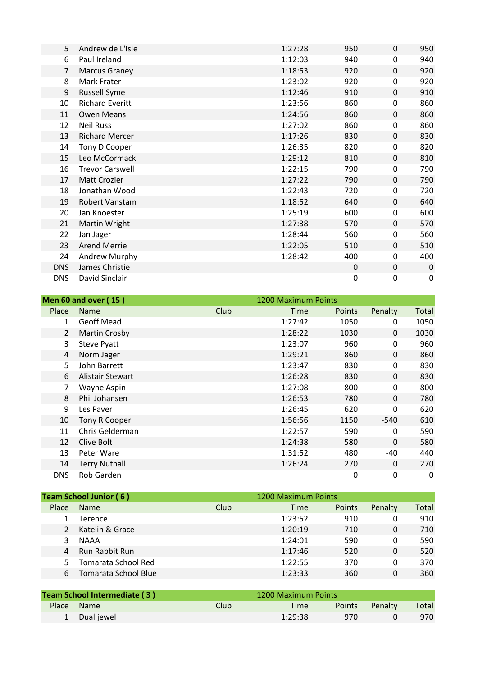| 5              | Andrew de L'Isle       | 1:27:28 | 950 | 0        | 950         |
|----------------|------------------------|---------|-----|----------|-------------|
| 6              | Paul Ireland           | 1:12:03 | 940 | 0        | 940         |
| $\overline{7}$ | <b>Marcus Graney</b>   | 1:18:53 | 920 | 0        | 920         |
| 8              | Mark Frater            | 1:23:02 | 920 | 0        | 920         |
| 9              | <b>Russell Syme</b>    | 1:12:46 | 910 | $\Omega$ | 910         |
| 10             | <b>Richard Everitt</b> | 1:23:56 | 860 | 0        | 860         |
| 11             | <b>Owen Means</b>      | 1:24:56 | 860 | 0        | 860         |
| 12             | <b>Neil Russ</b>       | 1:27:02 | 860 | 0        | 860         |
| 13             | <b>Richard Mercer</b>  | 1:17:26 | 830 | 0        | 830         |
| 14             | Tony D Cooper          | 1:26:35 | 820 | 0        | 820         |
| 15             | Leo McCormack          | 1:29:12 | 810 | 0        | 810         |
| 16             | <b>Trevor Carswell</b> | 1:22:15 | 790 | 0        | 790         |
| 17             | <b>Matt Crozier</b>    | 1:27:22 | 790 | $\Omega$ | 790         |
| 18             | Jonathan Wood          | 1:22:43 | 720 | 0        | 720         |
| 19             | Robert Vanstam         | 1:18:52 | 640 | 0        | 640         |
| 20             | Jan Knoester           | 1:25:19 | 600 | 0        | 600         |
| 21             | Martin Wright          | 1:27:38 | 570 | $\Omega$ | 570         |
| 22             | Jan Jager              | 1:28:44 | 560 | 0        | 560         |
| 23             | <b>Arend Merrie</b>    | 1:22:05 | 510 | 0        | 510         |
| 24             | Andrew Murphy          | 1:28:42 | 400 | 0        | 400         |
| <b>DNS</b>     | James Christie         |         | 0   | 0        | 0           |
| <b>DNS</b>     | David Sinclair         |         | 0   | 0        | $\mathbf 0$ |
|                |                        |         |     |          |             |

|               | <b>Men 60 and over (15)</b> |      | 1200 Maximum Points |               |          |       |
|---------------|-----------------------------|------|---------------------|---------------|----------|-------|
| <b>Place</b>  | <b>Name</b>                 | Club | Time                | <b>Points</b> | Penalty  | Total |
| $\mathbf{1}$  | Geoff Mead                  |      | 1:27:42             | 1050          | 0        | 1050  |
| $\mathcal{L}$ | Martin Crosby               |      | 1:28:22             | 1030          | 0        | 1030  |
| 3             | <b>Steve Pyatt</b>          |      | 1:23:07             | 960           | 0        | 960   |
| 4             | Norm Jager                  |      | 1:29:21             | 860           | $\Omega$ | 860   |
| 5.            | John Barrett                |      | 1:23:47             | 830           | 0        | 830   |
| 6             | Alistair Stewart            |      | 1:26:28             | 830           | $\Omega$ | 830   |
| 7             | Wayne Aspin                 |      | 1:27:08             | 800           | 0        | 800   |
| 8             | Phil Johansen               |      | 1:26:53             | 780           | $\Omega$ | 780   |
| 9             | Les Paver                   |      | 1:26:45             | 620           | 0        | 620   |
| 10            | Tony R Cooper               |      | 1:56:56             | 1150          | $-540$   | 610   |
| 11            | Chris Gelderman             |      | 1:22:57             | 590           | 0        | 590   |
| 12            | Clive Bolt                  |      | 1:24:38             | 580           | 0        | 580   |
| 13            | Peter Ware                  |      | 1:31:52             | 480           | -40      | 440   |
| 14            | <b>Terry Nuthall</b>        |      | 1:26:24             | 270           | $\Omega$ | 270   |
| <b>DNS</b>    | Rob Garden                  |      |                     | 0             | 0        | 0     |

|       | <b>Team School Junior (6)</b> |      | 1200 Maximum Points |        |         |       |
|-------|-------------------------------|------|---------------------|--------|---------|-------|
| Place | <b>Name</b>                   | Club | Time                | Points | Penalty | Total |
|       | Terence                       |      | 1:23:52             | 910    | 0       | 910   |
|       | Katelin & Grace               |      | 1:20:19             | 710    | 0       | 710   |
|       | <b>NAAA</b>                   |      | 1:24:01             | 590    | 0       | 590   |
|       | <b>Run Rabbit Run</b>         |      | 1:17:46             | 520    | 0       | 520   |
|       | Tomarata School Red           |      | 1:22:55             | 370    | 0       | 370   |
|       | Tomarata School Blue          |      | 1:23:33             | 360    | 0       | 360   |

| Team School Intermediate (3) |        | 1200 Maximum Points |               |         |       |
|------------------------------|--------|---------------------|---------------|---------|-------|
| Place Name                   | Club : | Time                | <b>Points</b> | Penalty | Total |
| 1 Dual jewel                 |        | 1:29:38             | 970           |         | 970   |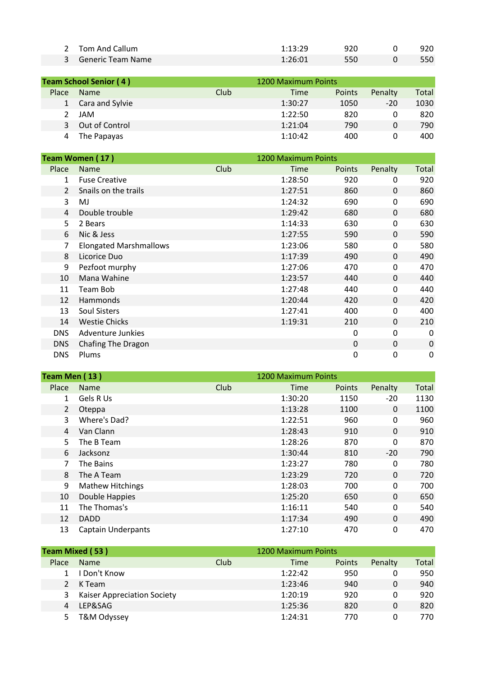| 2 Tom And Callum    | 1:13:29 | 920 | 920 |
|---------------------|---------|-----|-----|
| 3 Generic Team Name | 1:26:01 | 550 | 550 |

| <b>Team School Senior (4)</b> |                 |      | 1200 Maximum Points |               |         |       |
|-------------------------------|-----------------|------|---------------------|---------------|---------|-------|
| Place                         | <b>Name</b>     | Club | Time                | <b>Points</b> | Penalty | Total |
| 1                             | Cara and Sylvie |      | 1:30:27             | 1050          | $-20$   | 1030  |
|                               | JAM             |      | 1:22:50             | 820           |         | 820   |
| 3                             | Out of Control  |      | 1:21:04             | 790           | 0       | 790   |
|                               | The Papayas     |      | 1:10:42             | 400           | 0       | 400   |

| Team Women (17)       |                               |      | 1200 Maximum Points |               |          |       |
|-----------------------|-------------------------------|------|---------------------|---------------|----------|-------|
| Place                 | <b>Name</b>                   | Club | Time                | <b>Points</b> | Penalty  | Total |
| 1                     | <b>Fuse Creative</b>          |      | 1:28:50             | 920           | 0        | 920   |
| $\mathbf{2}^{\prime}$ | Snails on the trails          |      | 1:27:51             | 860           | $\Omega$ | 860   |
| 3                     | MJ                            |      | 1:24:32             | 690           | 0        | 690   |
| 4                     | Double trouble                |      | 1:29:42             | 680           | 0        | 680   |
| 5.                    | 2 Bears                       |      | 1:14:33             | 630           | 0        | 630   |
| 6                     | Nic & Jess                    |      | 1:27:55             | 590           | 0        | 590   |
| 7                     | <b>Elongated Marshmallows</b> |      | 1:23:06             | 580           | 0        | 580   |
| 8                     | Licorice Duo                  |      | 1:17:39             | 490           | 0        | 490   |
| 9                     | Pezfoot murphy                |      | 1:27:06             | 470           | 0        | 470   |
| 10                    | Mana Wahine                   |      | 1:23:57             | 440           | 0        | 440   |
| 11                    | Team Bob                      |      | 1:27:48             | 440           | 0        | 440   |
| 12                    | <b>Hammonds</b>               |      | 1:20:44             | 420           | 0        | 420   |
| 13                    | Soul Sisters                  |      | 1:27:41             | 400           | 0        | 400   |
| 14                    | <b>Westie Chicks</b>          |      | 1:19:31             | 210           | 0        | 210   |
| <b>DNS</b>            | Adventure Junkies             |      |                     | 0             | 0        | 0     |
| <b>DNS</b>            | Chafing The Dragon            |      |                     | 0             | 0        | 0     |
| <b>DNS</b>            | Plums                         |      |                     | 0             | 0        | 0     |

| Team Men (13) |                |                           |      | 1200 Maximum Points |        |          |              |  |
|---------------|----------------|---------------------------|------|---------------------|--------|----------|--------------|--|
|               | Place          | <b>Name</b>               | Club | Time                | Points | Penalty  | <b>Total</b> |  |
|               | 1              | Gels R Us                 |      | 1:30:20             | 1150   | $-20$    | 1130         |  |
|               | $\overline{2}$ | Oteppa                    |      | 1:13:28             | 1100   | $\Omega$ | 1100         |  |
|               | 3              | Where's Dad?              |      | 1:22:51             | 960    | 0        | 960          |  |
|               | 4              | Van Clann                 |      | 1:28:43             | 910    | 0        | 910          |  |
|               | 5.             | The B Team                |      | 1:28:26             | 870    | 0        | 870          |  |
|               | 6              | Jacksonz                  |      | 1:30:44             | 810    | $-20$    | 790          |  |
|               |                | The Bains                 |      | 1:23:27             | 780    | 0        | 780          |  |
|               | 8              | The A Team                |      | 1:23:29             | 720    | 0        | 720          |  |
|               | 9              | <b>Mathew Hitchings</b>   |      | 1:28:03             | 700    | 0        | 700          |  |
|               | 10             | Double Happies            |      | 1:25:20             | 650    | 0        | 650          |  |
|               | 11             | The Thomas's              |      | 1:16:11             | 540    | 0        | 540          |  |
|               | 12             | <b>DADD</b>               |      | 1:17:34             | 490    | $\Omega$ | 490          |  |
|               | 13             | <b>Captain Underpants</b> |      | 1:27:10             | 470    | 0        | 470          |  |
|               |                |                           |      |                     |        |          |              |  |

| <b>Team Mixed (53)</b> |                                    |      | 1200 Maximum Points |        |         |       |
|------------------------|------------------------------------|------|---------------------|--------|---------|-------|
| Place                  | <b>Name</b>                        | Club | Time                | Points | Penalty | Total |
|                        | I Don't Know                       |      | 1:22:42             | 950    |         | 950   |
|                        | K Team                             |      | 1:23:46             | 940    | 0       | 940   |
| 3.                     | <b>Kaiser Appreciation Society</b> |      | 1:20:19             | 920    | 0       | 920   |
|                        | LEP&SAG                            |      | 1:25:36             | 820    | 0       | 820   |
|                        | T&M Odyssey                        |      | 1:24:31             | 770    |         | 770.  |